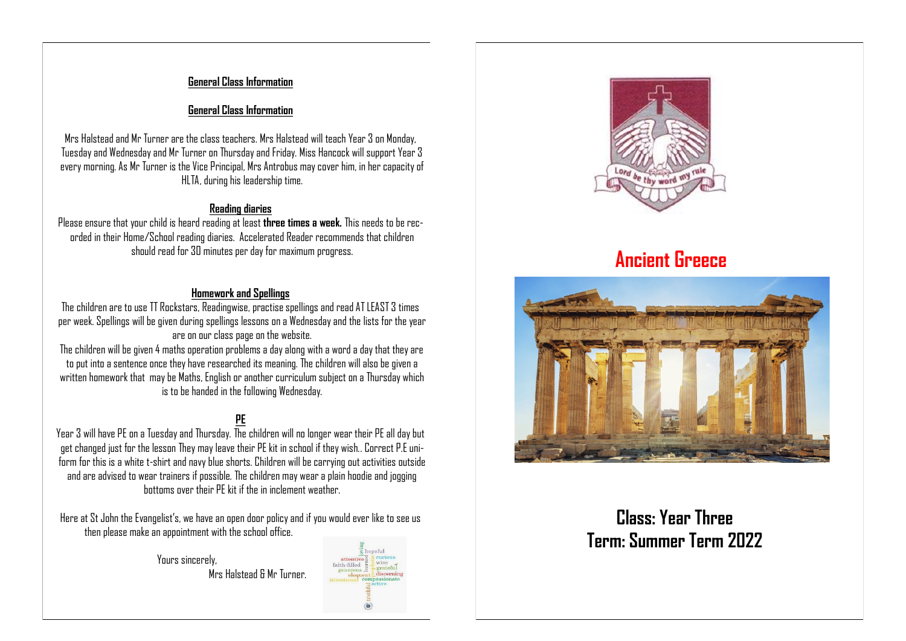#### **General Class Information**

#### **General Class Information**

Mrs Halstead and Mr Turner are the class teachers. Mrs Halstead will teach Year 3 on Monday, Tuesday and Wednesday and Mr Turner on Thursday and Friday. Miss Hancock will support Year 3 every morning. As Mr Turner is the Vice Principal, Mrs Antrobus may cover him, in her capacity of HLTA, during his leadership time.

#### **Reading diaries**

Please ensure that your child is heard reading at least **three times a week.** This needs to be recorded in their Home/School reading diaries. Accelerated Reader recommends that children should read for 30 minutes per day for maximum progress.

### **Homework and Spellings**

The children are to use TT Rockstars, Readingwise, practise spellings and read AT LEAST 3 times per week. Spellings will be given during spellings lessons on a Wednesday and the lists for the year are on our class page on the website.

The children will be given 4 maths operation problems a day along with a word a day that they are to put into a sentence once they have researched its meaning. The children will also be given a written homework that may be Maths, English or another curriculum subject on a Thursday which is to be handed in the following Wednesday.

# **PE**

Year 3 will have PE on a Tuesday and Thursday. The children will no longer wear their PE all day but get changed just for the lesson They may leave their PE kit in school if they wish.. Correct P.E uniform for this is a white t-shirt and navy blue shorts. Children will be carrying out activities outside and are advised to wear trainers if possible. The children may wear a plain hoodie and jogging bottoms over their PE kit if the in inclement weather.

Here at St John the Evangelist's, we have an open door policy and if you would ever like to see us then please make an appointment with the school office.

> Yours sincerely, Mrs Halstead & Mr Turner.





# **Ancient Greece**



# **Class: Year Three Term: Summer Term 2022**